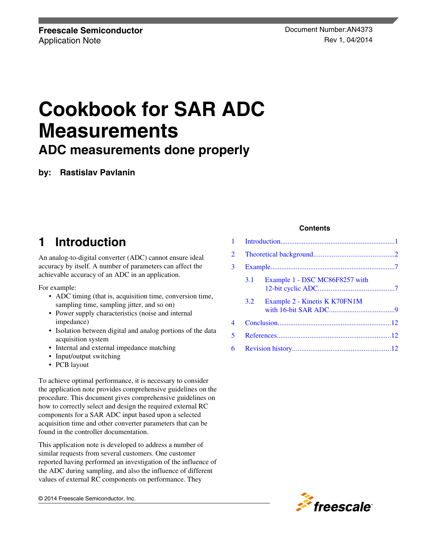# **Cookbook for SAR ADC Measurements**

**ADC measurements done properly**

**by: Rastislav Pavlanin**

# **1 Introduction**

An analog-to-digital converter (ADC) cannot ensure ideal accuracy by itself. A number of parameters can affect the achievable accuracy of an ADC in an application.

For example:

- ADC timing (that is, acquisition time, conversion time, sampling time, sampling jitter, and so on)
- Power supply characteristics (noise and internal impedance)
- Isolation between digital and analog portions of the data acquisition system
- Internal and external impedance matching
- Input/output switching
- PCB layout

To achieve optimal performance, it is necessary to consider the application note provides comprehensive guidelines on the procedure. This document gives comprehensive guidelines on how to correctly select and design the required external RC components for a SAR ADC input based upon a selected acquisition time and other converter parameters that can be found in the controller documentation.

This application note is developed to address a number of similar requests from several customers. One customer reported having performed an investigation of the influence of the ADC during sampling, and also the influence of different values of external RC components on performance. They

© 2014 Freescale Semiconductor, Inc.

# **Contents**

| $\mathbf{1}$ |     |                                |  |
|--------------|-----|--------------------------------|--|
| 2            |     |                                |  |
| 3            |     |                                |  |
|              | 3.1 | Example 1 - DSC MC86F8257 with |  |
|              | 3.2 | Example 2 - Kinetis K K70FN1M  |  |
| 4            |     |                                |  |
| 5            |     |                                |  |
| 6            |     |                                |  |

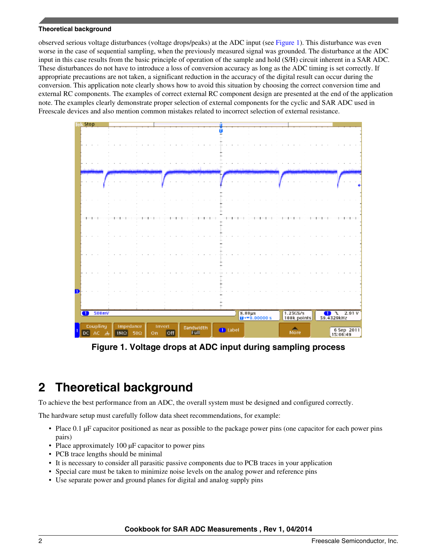#### <span id="page-1-0"></span>**Theoretical background**

observed serious voltage disturbances (voltage drops/peaks) at the ADC input (see Figure 1). This disturbance was even worse in the case of sequential sampling, when the previously measured signal was grounded. The disturbance at the ADC input in this case results from the basic principle of operation of the sample and hold (S/H) circuit inherent in a SAR ADC. These disturbances do not have to introduce a loss of conversion accuracy as long as the ADC timing is set correctly. If appropriate precautions are not taken, a significant reduction in the accuracy of the digital result can occur during the conversion. This application note clearly shows how to avoid this situation by choosing the correct conversion time and external RC components. The examples of correct external RC component design are presented at the end of the application note. The examples clearly demonstrate proper selection of external components for the cyclic and SAR ADC used in Freescale devices and also mention common mistakes related to incorrect selection of external resistance.



**Figure 1. Voltage drops at ADC input during sampling process**

# **2 Theoretical background**

To achieve the best performance from an ADC, the overall system must be designed and configured correctly.

The hardware setup must carefully follow data sheet recommendations, for example:

- Place 0.1 µF capacitor positioned as near as possible to the package power pins (one capacitor for each power pins pairs)
- Place approximately 100  $\mu$ F capacitor to power pins
- PCB trace lengths should be minimal
- It is necessary to consider all parasitic passive components due to PCB traces in your application
- Special care must be taken to minimize noise levels on the analog power and reference pins
- Use separate power and ground planes for digital and analog supply pins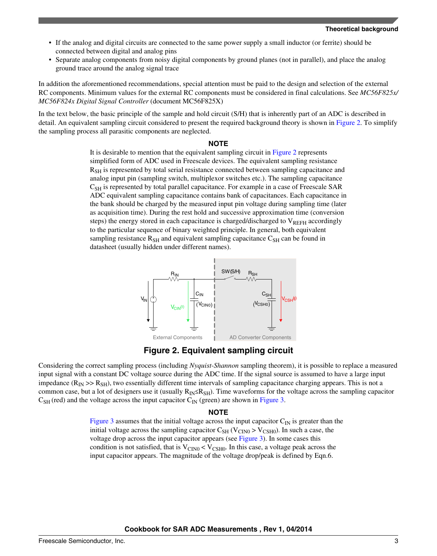- <span id="page-2-0"></span>• If the analog and digital circuits are connected to the same power supply a small inductor (or ferrite) should be connected between digital and analog pins
- Separate analog components from noisy digital components by ground planes (not in parallel), and place the analog ground trace around the analog signal trace

In addition the aforementioned recommendations, special attention must be paid to the design and selection of the external RC components. Minimum values for the external RC components must be considered in final calculations. See *MC56F825x/ MC56F824x Digital Signal Controller* (document MC56F825X)

In the text below, the basic principle of the sample and hold circuit (S/H) that is inherently part of an ADC is described in detail. An equivalent sampling circuit considered to present the required background theory is shown in Figure 2. To simplify the sampling process all parasitic components are neglected.

#### **NOTE**

It is desirable to mention that the equivalent sampling circuit in Figure 2 represents simplified form of ADC used in Freescale devices. The equivalent sampling resistance  $R<sub>SH</sub>$  is represented by total serial resistance connected between sampling capacitance and analog input pin (sampling switch, multiplexor switches etc.). The sampling capacitance  $C<sub>SH</sub>$  is represented by total parallel capacitance. For example in a case of Freescale SAR ADC equivalent sampling capacitance contains bank of capacitances. Each capacitance in the bank should be charged by the measured input pin voltage during sampling time (later as acquisition time). During the rest hold and successive approximation time (conversion steps) the energy stored in each capacitance is charged/discharged to  $V_{REFH}$  accordingly to the particular sequence of binary weighted principle. In general, both equivalent sampling resistance  $R_{\text{SH}}$  and equivalent sampling capacitance  $C_{\text{SH}}$  can be found in datasheet (usually hidden under different names).



**Figure 2. Equivalent sampling circuit**

Considering the correct sampling process (including *Nyquist-Shannon* sampling theorem), it is possible to replace a measured input signal with a constant DC voltage source during the ADC time. If the signal source is assumed to have a large input impedance  $(R_{\rm IN} \gg R_{\rm SH})$ , two essentially different time intervals of sampling capacitance charging appears. This is not a common case, but a lot of designers use it (usually  $R_{IN} \leq R_{SH}$ ). Time waveforms for the voltage across the sampling capacitor  $C_{SH}$  (red) and the voltage across the input capacitor  $C_{IN}$  (green) are shown in [Figure 3.](#page-3-0)

#### **NOTE**

[Figure 3](#page-3-0) assumes that the initial voltage across the input capacitor  $C_{\text{IN}}$  is greater than the initial voltage across the sampling capacitor  $C_{SH}$  (V<sub>CIN0</sub> > V<sub>CSH0</sub>). In such a case, the voltage drop across the input capacitor appears (see [Figure 3](#page-3-0)). In some cases this condition is not satisfied, that is  $V_{\text{CINO}} < V_{\text{CSHO}}$ . In this case, a voltage peak across the input capacitor appears. The magnitude of the voltage drop/peak is defined by Eqn.6.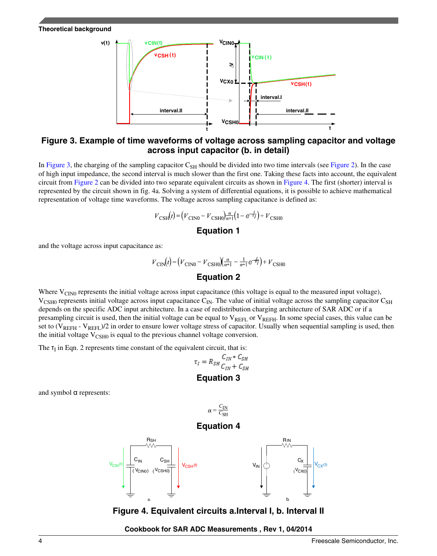#### <span id="page-3-0"></span>**Theoretical background**



# **Figure 3. Example of time waveforms of voltage across sampling capacitor and voltage across input capacitor (b. in detail)**

In Figure 3, the charging of the sampling capacitor  $C_{SH}$  should be divided into two time intervals (see [Figure 2\)](#page-2-0). In the case of high input impedance, the second interval is much slower than the first one. Taking these facts into account, the equivalent circuit from [Figure 2](#page-2-0) can be divided into two separate equivalent circuits as shown in Figure 4. The first (shorter) interval is represented by the circuit shown in fig. 4a. Solving a system of differential equations, it is possible to achieve mathematical representation of voltage time waveforms. The voltage across sampling capacitance is defined as:

$$
V_{\text{CSH}}(t) = \left(V_{\text{CINO}} - V_{\text{CSH0}}\right) \frac{\alpha}{\alpha+1} \left(1 - e^{-\frac{t}{\tau_I}}\right) + V_{\text{CSH0}}
$$

# **Equation 1**

and the voltage across input capacitance as:

$$
V_{\text{CIN}}(t) = (V_{\text{CIN0}} - V_{\text{CSHO}})(\frac{\alpha}{\alpha+1} - \frac{1}{\alpha+1}e^{-\frac{t}{\tau}}) + V_{\text{CSHC}}
$$
  
**Equation 2**

Where  $V_{\text{CINO}}$  represents the initial voltage across input capacitance (this voltage is equal to the measured input voltage),  $V_{\text{CSH0}}$  represents initial voltage across input capacitance  $C_{\text{IN}}$ . The value of initial voltage across the sampling capacitor  $C_{\text{SH}}$ depends on the specific ADC input architecture. In a case of redistribution charging architecture of SAR ADC or if a presampling circuit is used, then the initial voltage can be equal to  $V_{REFL}$  or  $V_{REFH}$ . In some special cases, this value can be set to  $(V_{REFH} - V_{REF})/2$  in order to ensure lower voltage stress of capacitor. Usually when sequential sampling is used, then the initial voltage  $V_{\text{CSH0}}$  is equal to the previous channel voltage conversion.

The  $\tau_I$  in Eqn. 2 represents time constant of the equivalent circuit, that is:

$$
\tau_I = R_{SH} \frac{C_{IN} * C_{SH}}{C_{IN} + C_{SH}}
$$

# **Equation 3**

and symbol α represents:

![](_page_3_Figure_13.jpeg)

**Figure 4. Equivalent circuits a.Interval I, b. Interval II**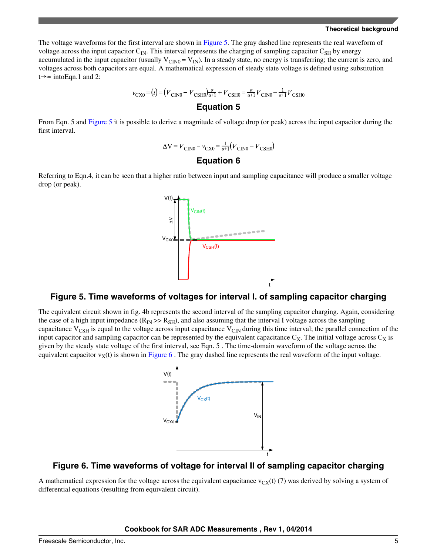The voltage waveforms for the first interval are shown in Figure 5. The gray dashed line represents the real waveform of voltage across the input capacitor  $C_{\text{IN}}$ . This interval represents the charging of sampling capacitor  $C_{\text{SH}}$  by energy accumulated in the input capacitor (usually  $V_{CINO} = V_{IN}$ ). In a steady state, no energy is transferring; the current is zero, and voltages across both capacitors are equal. A mathematical expression of steady state voltage is defined using substitution t→∞ intoEqn.1 and 2:

$$
v_{\text{CX0}} = (t) = (V_{\text{CINO}} - V_{\text{CSHO}})\frac{a}{a+1} + V_{\text{CSH0}} = \frac{a}{a+1}V_{\text{CINO}} + \frac{1}{a+1}V_{\text{CSH0}}
$$

### **Equation 5**

From Eqn. 5 and Figure 5 it is possible to derive a magnitude of voltage drop (or peak) across the input capacitor during the first interval.

$$
\Delta V = V_{\text{CINO}} - v_{\text{CX0}} = \frac{1}{\alpha + 1} (V_{\text{CINO}} - V_{\text{CSHO}})
$$

# **Equation 6**

Referring to Eqn.4, it can be seen that a higher ratio between input and sampling capacitance will produce a smaller voltage drop (or peak).

![](_page_4_Figure_8.jpeg)

# **Figure 5. Time waveforms of voltages for interval I. of sampling capacitor charging**

The equivalent circuit shown in fig. 4b represents the second interval of the sampling capacitor charging. Again, considering the case of a high input impedance ( $R_{IN} \gg R_{SH}$ ), and also assuming that the interval I voltage across the sampling capacitance  $V_{\text{CSH}}$  is equal to the voltage across input capacitance  $V_{\text{CN}}$  during this time interval; the parallel connection of the input capacitor and sampling capacitor can be represented by the equivalent capacitance  $C_X$ . The initial voltage across  $C_X$  is given by the steady state voltage of the first interval, see Eqn. 5 . The time-domain waveform of the voltage across the equivalent capacitor  $v<sub>X</sub>(t)$  is shown in Figure 6. The gray dashed line represents the real waveform of the input voltage.

![](_page_4_Figure_11.jpeg)

# **Figure 6. Time waveforms of voltage for interval II of sampling capacitor charging**

A mathematical expression for the voltage across the equivalent capacitance  $v_{CX}(t)$  (7) was derived by solving a system of differential equations (resulting from equivalent circuit).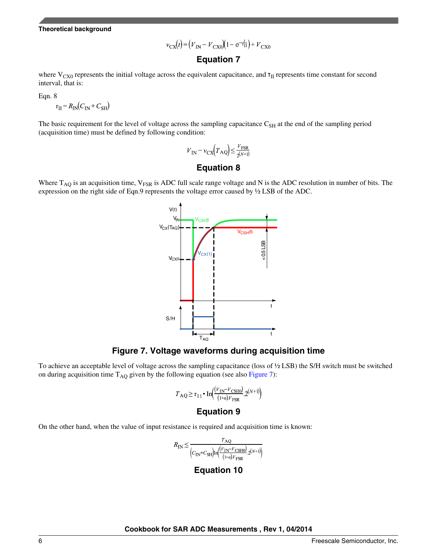$$
v_{\text{CX}}(t) = (V_{\text{IN}} - V_{\text{CX0}})(1 - e^{-\frac{t}{\tau_{\text{II}}}}) + V_{\text{CX0}}
$$

# **Equation 7**

where  $V_{CX0}$  represents the initial voltage across the equivalent capacitance, and  $\tau_{II}$  represents time constant for second interval, that is:

Eqn. 8

$$
\tau_{\text{II}} = R_{\text{IN}}(C_{\text{IN}} + C_{\text{SH}})
$$

The basic requirement for the level of voltage across the sampling capacitance  $C_{SH}$  at the end of the sampling period (acquisition time) must be defined by following condition:

$$
V_{\text{IN}} - v_{\text{CX}} \left( T_{\text{AQ}} \right) \le \frac{V_{\text{FSR}}}{2^{(N+1)}}
$$

# **Equation 8**

Where  $T_{AQ}$  is an acquisition time,  $V_{FSR}$  is ADC full scale range voltage and N is the ADC resolution in number of bits. The expression on the right side of Eqn.9 represents the voltage error caused by ½ LSB of the ADC.

![](_page_5_Figure_10.jpeg)

# **Figure 7. Voltage waveforms during acquisition time**

To achieve an acceptable level of voltage across the sampling capacitance (loss of ½ LSB) the S/H switch must be switched on during acquisition time  $T_{AQ}$  given by the following equation (see also Figure 7):

$$
T_{\text{AQ}} \ge \tau_{11} \cdot \text{In}\left(\frac{(V_{\text{IN}} - V_{\text{CSH0}})}{(1+\alpha)V_{\text{FSR}}}\right) 2^{(N+1)}\right)
$$

#### **Equation 9**

On the other hand, when the value of input resistance is required and acquisition time is known:

$$
R_{\text{IN}} \le \frac{r_{\text{AQ}}}{\left(C_{\text{IN}} + C_{\text{SH}}\right) \ln\left(\frac{(V_{\text{IN}} - V_{\text{CSHO}})}{(1 + \alpha)V_{\text{FSR}}}\right)} \times
$$

#### **Equation 10**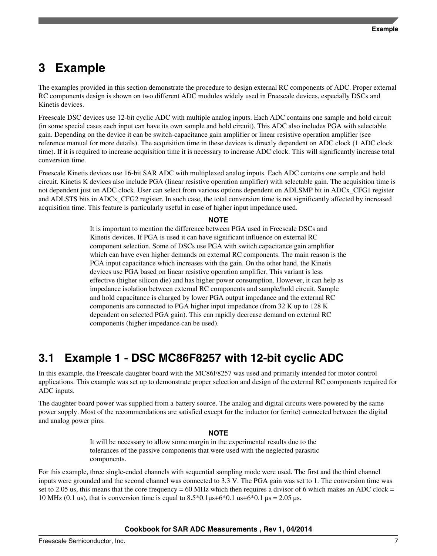# <span id="page-6-0"></span>**3 Example**

The examples provided in this section demonstrate the procedure to design external RC components of ADC. Proper external RC components design is shown on two different ADC modules widely used in Freescale devices, especially DSCs and Kinetis devices.

Freescale DSC devices use 12-bit cyclic ADC with multiple analog inputs. Each ADC contains one sample and hold circuit (in some special cases each input can have its own sample and hold circuit). This ADC also includes PGA with selectable gain. Depending on the device it can be switch-capacitance gain amplifier or linear resistive operation amplifier (see reference manual for more details). The acquisition time in these devices is directly dependent on ADC clock (1 ADC clock time). If it is required to increase acquisition time it is necessary to increase ADC clock. This will significantly increase total conversion time.

Freescale Kinetis devices use 16-bit SAR ADC with multiplexed analog inputs. Each ADC contains one sample and hold circuit. Kinetis K devices also include PGA (linear resistive operation amplifier) with selectable gain. The acquisition time is not dependent just on ADC clock. User can select from various options dependent on ADLSMP bit in ADCx\_CFG1 register and ADLSTS bits in ADCx\_CFG2 register. In such case, the total conversion time is not significantly affected by increased acquisition time. This feature is particularly useful in case of higher input impedance used.

#### **NOTE**

It is important to mention the difference between PGA used in Freescale DSCs and Kinetis devices. If PGA is used it can have significant influence on external RC component selection. Some of DSCs use PGA with switch capacitance gain amplifier which can have even higher demands on external RC components. The main reason is the PGA input capacitance which increases with the gain. On the other hand, the Kinetis devices use PGA based on linear resistive operation amplifier. This variant is less effective (higher silicon die) and has higher power consumption. However, it can help as impedance isolation between external RC components and sample/hold circuit. Sample and hold capacitance is charged by lower PGA output impedance and the external RC components are connected to PGA higher input impedance (from 32 K up to 128 K dependent on selected PGA gain). This can rapidly decrease demand on external RC components (higher impedance can be used).

# **3.1 Example 1 - DSC MC86F8257 with 12-bit cyclic ADC**

In this example, the Freescale daughter board with the MC86F8257 was used and primarily intended for motor control applications. This example was set up to demonstrate proper selection and design of the external RC components required for ADC inputs.

The daughter board power was supplied from a battery source. The analog and digital circuits were powered by the same power supply. Most of the recommendations are satisfied except for the inductor (or ferrite) connected between the digital and analog power pins.

#### **NOTE**

It will be necessary to allow some margin in the experimental results due to the tolerances of the passive components that were used with the neglected parasitic components.

For this example, three single-ended channels with sequential sampling mode were used. The first and the third channel inputs were grounded and the second channel was connected to 3.3 V. The PGA gain was set to 1. The conversion time was set to 2.05 us, this means that the core frequency = 60 MHz which then requires a divisor of 6 which makes an ADC clock = 10 MHz (0.1 us), that is conversion time is equal to  $8.5*0.1\mu s+6*0.1 \mu s+6*0.1 \mu s = 2.05 \mu s$ .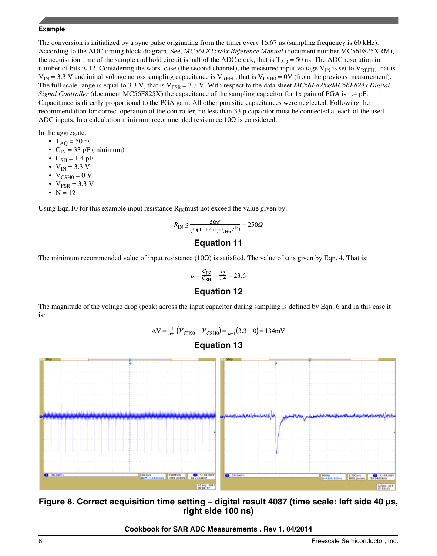### <span id="page-7-0"></span>**Example**

The conversion is initialized by a sync pulse originating from the timer every 16.67 us (sampling frequency is 60 kHz). According to the ADC timing block diagram. See, *MC56F825x/4x Reference Manual* (document number MC56F825XRM), the acquisition time of the sample and hold circuit is half of the ADC clock, that is  $T_{AO} = 50$  ns. The ADC resolution in number of bits is 12. Considering the worst case (the second channel), the measured input voltage  $V_{IN}$  is set to  $V_{REFH}$ , that is  $V_{IN}$  = 3.3 V and initial voltage across sampling capacitance is  $V_{REFL}$ , that is  $V_{CSH0}$  = 0V (from the previous measurement). The full scale range is equal to 3.3 V, that is  $V_{FSR} = 3.3$  V. With respect to the data sheet *MC56F825x/MC56F824x Digital Signal Controller* (document MC56F825X) the capacitance of the sampling capacitor for 1x gain of PGA is 1.4 pF. Capacitance is directly proportional to the PGA gain. All other parasitic capacitances were neglected. Following the recommendation for correct operation of the controller, no less than 33 p capacitor must be connected at each of the used ADC inputs. In a calculation minimum recommended resistance  $10\Omega$  is considered.

In the aggregate:

- $T_{AO} = 50$  ns
- $C_{IN}$  = 33 pF (minimum)
- $C_{SH} = 1.4$  pF
- $V_{IN} = 3.3 V$
- $V_{CSHO} = 0 V$
- $V_{FSR} = 3.3 V$
- $N = 12$

Using Eqn.10 for this example input resistance  $R_{IN}$  must not exceed the value given by:

$$
R_{\rm IN} \le \frac{50 \text{nf}}{(33 \text{pF} - 1.4 \text{pF}) \text{In} (\frac{1}{1 + \alpha} 2^{13})} = 250 \Omega
$$

# **Equation 11**

The minimum recommended value of input resistance (10 $\Omega$ ) is satisfied. The value of  $\alpha$  is given by Eqn. 4, That is:

$$
\alpha = \frac{C_{\text{IN}}}{C_{\text{SH}}} = \frac{33}{1.4} = 23.6
$$

# **Equation 12**

The magnitude of the voltage drop (peak) across the input capacitor during sampling is defined by Eqn. 6 and in this case it is:

 $\Delta V = \frac{1}{\alpha + 1} (V_{\text{CIN0}} - V_{\text{CSHO}}) = \frac{1}{\alpha + 1} (3.3 - 0) = 134 \text{mV}$ 

![](_page_7_Figure_18.jpeg)

![](_page_7_Figure_19.jpeg)

**Figure 8. Correct acquisition time setting – digital result 4087 (time scale: left side 40 µs, right side 100 ns)**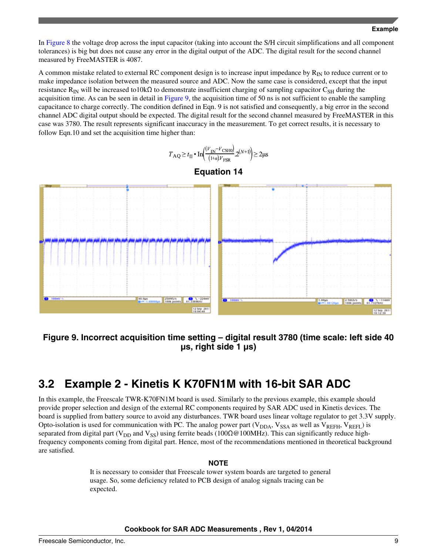<span id="page-8-0"></span>In [Figure 8](#page-7-0) the voltage drop across the input capacitor (taking into account the S/H circuit simplifications and all component tolerances) is big but does not cause any error in the digital output of the ADC. The digital result for the second channel measured by FreeMASTER is 4087.

A common mistake related to external RC component design is to increase input impedance by  $R_{IN}$  to reduce current or to make impedance isolation between the measured source and ADC. Now the same case is considered, except that the input resistance R<sub>IN</sub> will be increased to10kΩ to demonstrate insufficient charging of sampling capacitor C<sub>SH</sub> during the acquisition time. As can be seen in detail in Figure 9, the acquisition time of 50 ns is not sufficient to enable the sampling capacitance to charge correctly. The condition defined in Eqn. 9 is not satisfied and consequently, a big error in the second channel ADC digital output should be expected. The digital result for the second channel measured by FreeMASTER in this case was 3780. The result represents significant inaccuracy in the measurement. To get correct results, it is necessary to follow Eqn.10 and set the acquisition time higher than:

$$
T_{\text{AQ}} \ge t_{\text{II}} \cdot \text{In}\left(\frac{(V_{\text{IN}} - V_{\text{CSHO}})}{(1+\alpha)V_{\text{FSR}}}\right) \ge 2\mu\text{s}
$$

![](_page_8_Figure_4.jpeg)

![](_page_8_Figure_5.jpeg)

# **Figure 9. Incorrect acquisition time setting – digital result 3780 (time scale: left side 40 µs, right side 1 µs)**

# **3.2 Example 2 - Kinetis K K70FN1M with 16-bit SAR ADC**

In this example, the Freescale TWR-K70FN1M board is used. Similarly to the previous example, this example should provide proper selection and design of the external RC components required by SAR ADC used in Kinetis devices. The board is supplied from battery source to avoid any disturbances. TWR board uses linear voltage regulator to get 3.3V supply. Opto-isolation is used for communication with PC. The analog power part ( $V_{DDA}$ ,  $V_{SSA}$  as well as  $V_{REFH}$ ,  $V_{REFJ}$ ) is separated from digital part (V<sub>DD</sub> and V<sub>SS</sub>) using ferrite beads (100 $\Omega$ @100MHz). This can significantly reduce highfrequency components coming from digital part. Hence, most of the recommendations mentioned in theoretical background are satisfied.

#### **NOTE**

It is necessary to consider that Freescale tower system boards are targeted to general usage. So, some deficiency related to PCB design of analog signals tracing can be expected.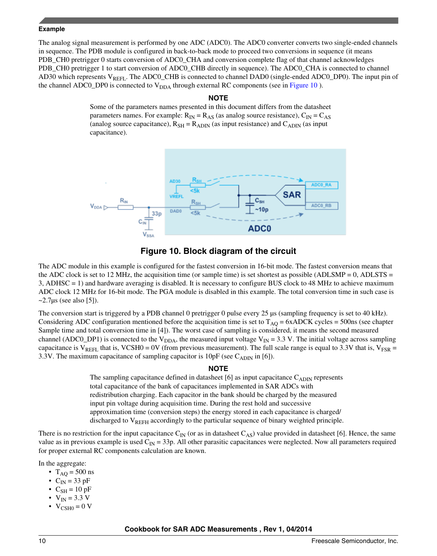#### **Example**

The analog signal measurement is performed by one ADC (ADC0). The ADC0 converter converts two single-ended channels in sequence. The PDB module is configured in back-to-back mode to proceed two conversions in sequence (it means PDB\_CH0 pretrigger 0 starts conversion of ADC0\_CHA and conversion complete flag of that channel acknowledges PDB\_CH0 pretrigger 1 to start conversion of ADC0\_CHB directly in sequence). The ADC0\_CHA is connected to channel AD30 which represents  $V_{REFL}$ . The ADC0\_CHB is connected to channel DAD0 (single-ended ADC0\_DP0). The input pin of the channel ADC0\_DP0 is connected to  $V<sub>DDA</sub>$  through external RC components (see in Figure 10).

### **NOTE**

Some of the parameters names presented in this document differs from the datasheet parameters names. For example:  $R_{IN} = R_{AS}$  (as analog source resistance),  $C_{IN} = C_{AS}$ (analog source capacitance),  $R_{SH} = R_{ADIN}$  (as input resistance) and  $C_{ADIN}$  (as input capacitance).

![](_page_9_Figure_4.jpeg)

# **Figure 10. Block diagram of the circuit**

The ADC module in this example is configured for the fastest conversion in 16-bit mode. The fastest conversion means that the ADC clock is set to 12 MHz, the acquisition time (or sample time) is set shortest as possible (ADLSMP = 0, ADLSTS = 3, ADHSC = 1) and hardware averaging is disabled. It is necessary to configure BUS clock to 48 MHz to achieve maximum ADC clock 12 MHz for 16-bit mode. The PGA module is disabled in this example. The total conversion time in such case is  $\sim$ 2.7 $\mu$ s (see also [5]).

The conversion start is triggered by a PDB channel 0 pretrigger 0 pulse every 25  $\mu$ s (sampling frequency is set to 40 kHz). Considering ADC configuration mentioned before the acquisition time is set to  $T_{AO} = 6xADCK$  cycles = 500ns (see chapter Sample time and total conversion time in [4]). The worst case of sampling is considered, it means the second measured channel (ADC0\_DP1) is connected to the V<sub>DDA</sub>, the measured input voltage V<sub>IN</sub> = 3.3 V. The initial voltage across sampling capacitance is  $V_{REFL}$  that is, VCSH0 = 0V (from previous measurement). The full scale range is equal to 3.3V that is,  $V_{FSR}$  = 3.3V. The maximum capacitance of sampling capacitor is  $10pF$  (see  $C_{ADIN}$  in [6]).

# **NOTE**

The sampling capacitance defined in datasheet [6] as input capacitance  $C_{ADIN}$  represents total capacitance of the bank of capacitances implemented in SAR ADCs with redistribution charging. Each capacitor in the bank should be charged by the measured input pin voltage during acquisition time. During the rest hold and successive approximation time (conversion steps) the energy stored in each capacitance is charged/ discharged to  $V_{REFH}$  accordingly to the particular sequence of binary weighted principle.

There is no restriction for the input capacitance  $C_{\text{IN}}$  (or as in datasheet  $C_{\text{AS}}$ ) value provided in datasheet [6]. Hence, the same value as in previous example is used  $C_{\text{IN}} = 33p$ . All other parasitic capacitances were neglected. Now all parameters required for proper external RC components calculation are known.

In the aggregate:

- $T_{AO} = 500 \text{ ns}$
- $C_{IN}$  = 33 pF
- $C_{SH} = 10 \text{ pF}$
- $V_{IN} = 3.3 V$
- $V_{\text{CSH0}} = 0$  V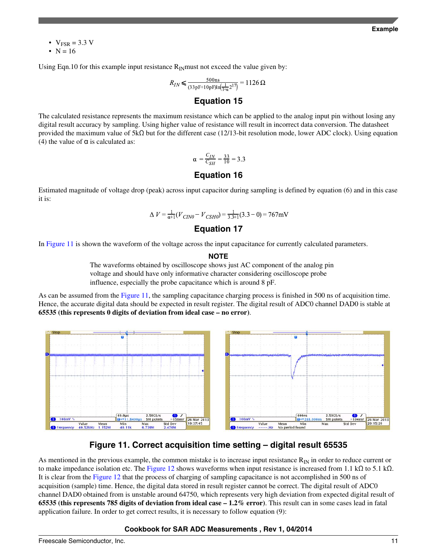•  $V_{FSR} = 3.3 V$ 

•  $N = 16$ 

Using Eqn.10 for this example input resistance  $R_{IN}$  must not exceed the value given by:

$$
R_{IN} \le \frac{500 \text{ns}}{(33 \text{pF} + 10 \text{pF}) \text{ln}(\frac{1}{1+\alpha}2^{17})} = 1126 \,\Omega
$$

# **Equation 15**

The calculated resistance represents the maximum resistance which can be applied to the analog input pin without losing any digital result accuracy by sampling. Using higher value of resistance will result in incorrect data conversion. The datasheet provided the maximum value of 5kΩ but for the different case (12/13-bit resolution mode, lower ADC clock). Using equation (4) the value of  $\alpha$  is calculated as:

$$
\alpha = \frac{C_{IN}}{C_{SH}} = \frac{33}{10} = 3.3
$$

# **Equation 16**

Estimated magnitude of voltage drop (peak) across input capacitor during sampling is defined by equation (6) and in this case it is:

$$
\Delta V = \frac{1}{\alpha + 1} (V_{CIN0} - V_{CSH0}) = \frac{1}{3.3 \pm 1} (3.3 - 0) = 767 \text{mV}
$$

# **Equation 17**

In Figure 11 is shown the waveform of the voltage across the input capacitance for currently calculated parameters.

```
NOTE
```
The waveforms obtained by oscilloscope shows just AC component of the analog pin voltage and should have only informative character considering oscilloscope probe influence, especially the probe capacitance which is around 8 pF.

As can be assumed from the Figure 11, the sampling capacitance charging process is finished in 500 ns of acquisition time. Hence, the accurate digital data should be expected in result register. The digital result of ADC0 channel DAD0 is stable at **65535 (this represents 0 digits of deviation from ideal case – no error)**.

![](_page_10_Figure_16.jpeg)

# **Figure 11. Correct acquisition time setting – digital result 65535**

As mentioned in the previous example, the common mistake is to increase input resistance  $R_{\text{IN}}$  in order to reduce current or to make impedance isolation etc. The [Figure 12](#page-11-0) shows waveforms when input resistance is increased from 1.1 kΩ to 5.1 kΩ. It is clear from the [Figure 12](#page-11-0) that the process of charging of sampling capacitance is not accomplished in 500 ns of acquisition (sample) time. Hence, the digital data stored in result register cannot be correct. The digital result of ADC0 channel DAD0 obtained from is unstable around 64750, which represents very high deviation from expected digital result of **65535 (this represents 785 digits of deviation from ideal case – 1.2% error)**. This result can in some cases lead in fatal application failure. In order to get correct results, it is necessary to follow equation (9):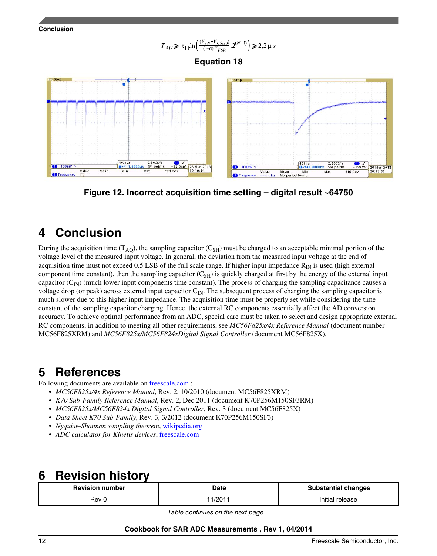<span id="page-11-0"></span>![](_page_11_Figure_0.jpeg)

![](_page_11_Figure_1.jpeg)

# **Equation 18**

![](_page_11_Figure_3.jpeg)

**Figure 12. Incorrect acquisition time setting – digital result ~64750**

# **4 Conclusion**

During the acquisition time  $(T_{AO})$ , the sampling capacitor  $(C_{SH})$  must be charged to an acceptable minimal portion of the voltage level of the measured input voltage. In general, the deviation from the measured input voltage at the end of acquisition time must not exceed 0.5 LSB of the full scale range. If higher input impedance  $R_{IN}$  is used (high external component time constant), then the sampling capacitor  $(C_{SH})$  is quickly charged at first by the energy of the external input capacitor  $(C_{\text{IN}})$  (much lower input components time constant). The process of charging the sampling capacitance causes a voltage drop (or peak) across external input capacitor  $C_{IN}$ . The subsequent process of charging the sampling capacitor is much slower due to this higher input impedance. The acquisition time must be properly set while considering the time constant of the sampling capacitor charging. Hence, the external RC components essentially affect the AD conversion accuracy. To achieve optimal performance from an ADC, special care must be taken to select and design appropriate external RC components, in addition to meeting all other requirements, see *MC56F825x/4x Reference Manual* (document number MC56F825XRM) and *MC56F825x/MC56F824xDigital Signal Controller* (document MC56F825X).

# **5 References**

Following documents are available on [freescale.com](http://www.freescale.com) :

- *MC56F825x/4x Reference Manual*, Rev. 2, 10/2010 (document MC56F825XRM)
- *K70 Sub-Family Reference Manual*, Rev. 2, Dec 2011 (document K70P256M150SF3RM)
- *MC56F825x/MC56F824x Digital Signal Controller*, Rev. 3 (document MC56F825X)
- *Data Sheet K70 Sub-Family*, Rev. 3, 3/2012 (document K70P256M150SF3)
- *Nyquist–Shannon sampling theorem*, [wikipedia.org](http://en.wikipedia.org/wiki/Nyquist%E2%80%93Shannon_sampling_theorem)
- *ADC calculator for Kinetis devices*, [freescale.com](http://www.freescale.com/webapp/sps/site/overview.jsp?code=ADC_CALCULATOR)

# **6 Revision history**

| <b>Revision number</b> | <b>Date</b>    | <b>Substantial changes</b> |
|------------------------|----------------|----------------------------|
| Rev 0                  | 1001<br>72 U I | Initial<br>release         |

*Table continues on the next page...*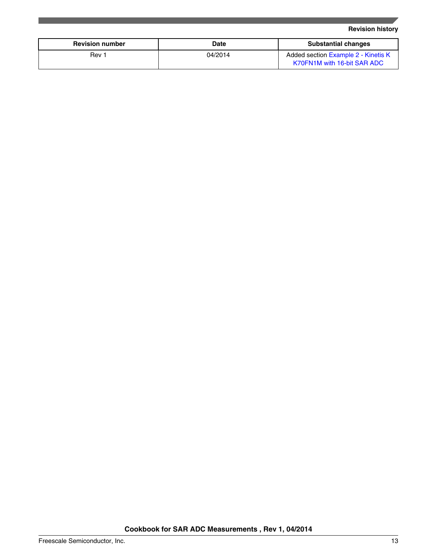# **Revision history**

| <b>Revision number</b> | Date    | <b>Substantial changes</b>                                         |
|------------------------|---------|--------------------------------------------------------------------|
| Rev 1                  | 04/2014 | Added section Example 2 - Kinetis K<br>K70FN1M with 16-bit SAR ADC |